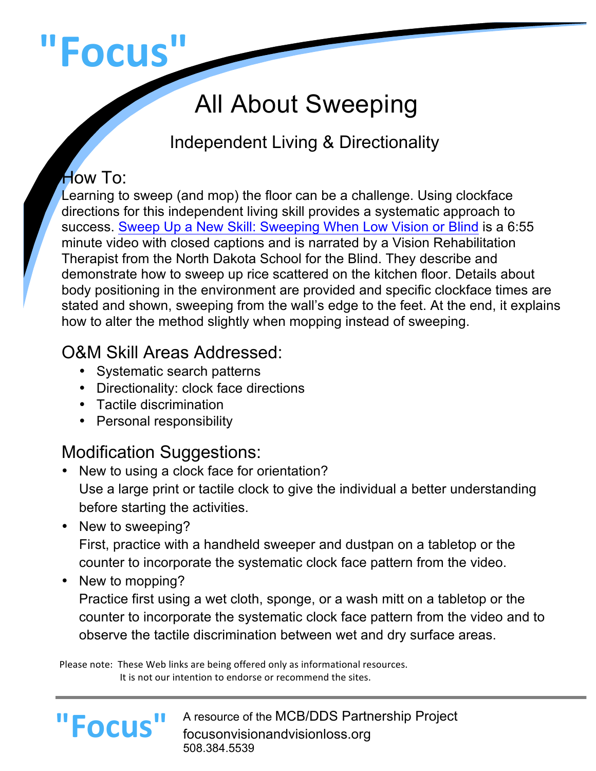# **"Focus"**

# All About Sweeping

# Independent Living & Directionality

#### How To:

Learning to sweep (and mop) the floor can be a challenge. Using clockface directions for this independent living skill provides a systematic approach to success. Sweep Up a New Skill: Sweeping When Low Vision or Blind is a 6:55 minute video with closed captions and is narrated by a Vision Rehabilitation Therapist from the North Dakota School for the Blind. They describe and demonstrate how to sweep up rice scattered on the kitchen floor. Details about body positioning in the environment are provided and specific clockface times are stated and shown, sweeping from the wall's edge to the feet. At the end, it explains how to alter the method slightly when mopping instead of sweeping.

## O&M Skill Areas Addressed:

- Systematic search patterns
- Directionality: clock face directions
- Tactile discrimination
- Personal responsibility

# Modification Suggestions:

- New to using a clock face for orientation? Use a large print or tactile clock to give the individual a better understanding before starting the activities.
- New to sweeping? First, practice with a handheld sweeper and dustpan on a tabletop or the counter to incorporate the systematic clock face pattern from the video.
- New to mopping?

**"Focus"**

Practice first using a wet cloth, sponge, or a wash mitt on a tabletop or the counter to incorporate the systematic clock face pattern from the video and to observe the tactile discrimination between wet and dry surface areas.

Please note: These Web links are being offered only as informational resources. It is not our intention to endorse or recommend the sites.